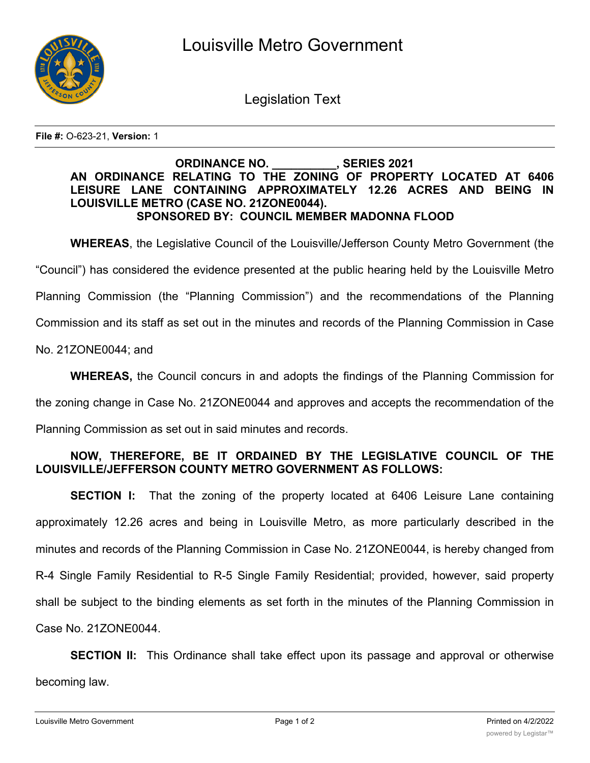

Legislation Text

**File #:** O-623-21, **Version:** 1

## **ORDINANCE NO. \_\_\_\_\_\_\_\_\_\_, SERIES 2021 AN ORDINANCE RELATING TO THE ZONING OF PROPERTY LOCATED AT 6406 LEISURE LANE CONTAINING APPROXIMATELY 12.26 ACRES AND BEING IN LOUISVILLE METRO (CASE NO. 21ZONE0044). SPONSORED BY: COUNCIL MEMBER MADONNA FLOOD**

**WHEREAS**, the Legislative Council of the Louisville/Jefferson County Metro Government (the

"Council") has considered the evidence presented at the public hearing held by the Louisville Metro

Planning Commission (the "Planning Commission") and the recommendations of the Planning

Commission and its staff as set out in the minutes and records of the Planning Commission in Case

No. 21ZONE0044; and

**WHEREAS,** the Council concurs in and adopts the findings of the Planning Commission for

the zoning change in Case No. 21ZONE0044 and approves and accepts the recommendation of the

Planning Commission as set out in said minutes and records.

## **NOW, THEREFORE, BE IT ORDAINED BY THE LEGISLATIVE COUNCIL OF THE LOUISVILLE/JEFFERSON COUNTY METRO GOVERNMENT AS FOLLOWS:**

**SECTION I:** That the zoning of the property located at 6406 Leisure Lane containing approximately 12.26 acres and being in Louisville Metro, as more particularly described in the minutes and records of the Planning Commission in Case No. 21ZONE0044, is hereby changed from R-4 Single Family Residential to R-5 Single Family Residential; provided, however, said property shall be subject to the binding elements as set forth in the minutes of the Planning Commission in Case No. 21ZONE0044.

**SECTION II:** This Ordinance shall take effect upon its passage and approval or otherwise becoming law.